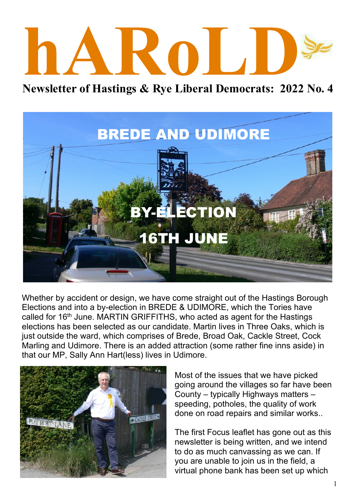# **hARoLD**

**Newsletter of Hastings & Rye Liberal Democrats: 2022 No. 4**



Whether by accident or design, we have come straight out of the Hastings Borough Elections and into a by-election in BREDE & UDIMORE, which the Tories have called for 16<sup>th</sup> June. MARTIN GRIFFITHS, who acted as agent for the Hastings elections has been selected as our candidate. Martin lives in Three Oaks, which is just outside the ward, which comprises of Brede, Broad Oak, Cackle Street, Cock Marling and Udimore. There is an added attraction (some rather fine inns aside) in that our MP, Sally Ann Hart(less) lives in Udimore.



Most of the issues that we have picked going around the villages so far have been County – typically Highways matters – speeding, potholes, the quality of work done on road repairs and similar works..

The first Focus leaflet has gone out as this newsletter is being written, and we intend to do as much canvassing as we can. If you are unable to join us in the field, a virtual phone bank has been set up which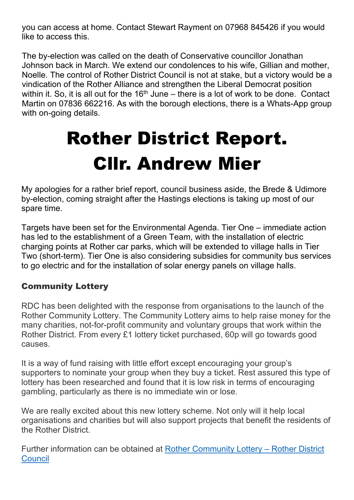you can access at home. Contact Stewart Rayment on 07968 845426 if you would like to access this.

The by-election was called on the death of Conservative councillor Jonathan Johnson back in March. We extend our condolences to his wife, Gillian and mother, Noelle. The control of Rother District Council is not at stake, but a victory would be a vindication of the Rother Alliance and strengthen the Liberal Democrat position within it. So, it is all out for the  $16<sup>th</sup>$  June – there is a lot of work to be done. Contact Martin on 07836 662216. As with the borough elections, there is a Whats-App group with on-going details.

## **Rother District Report. Cllr. Andrew Mier**

My apologies for a rather brief report, council business aside, the Brede & Udimore by-election, coming straight after the Hastings elections is taking up most of our spare time.

Targets have been set for the Environmental Agenda. Tier One – immediate action has led to the establishment of a Green Team, with the installation of electric charging points at Rother car parks, which will be extended to village halls in Tier Two (short-term). Tier One is also considering subsidies for community bus services to go electric and for the installation of solar energy panels on village halls.

#### **Community Lottery**

RDC has been delighted with the response from organisations to the launch of the Rother Community Lottery. The Community Lottery aims to help raise money for the many charities, not-for-profit community and voluntary groups that work within the Rother District. From every £1 lottery ticket purchased, 60p will go towards good causes.

It is a way of fund raising with little effort except encouraging your group's supporters to nominate your group when they buy a ticket. Rest assured this type of lottery has been researched and found that it is low risk in terms of encouraging gambling, particularly as there is no immediate win or lose.

We are really excited about this new lottery scheme. Not only will it help local organisations and charities but will also support projects that benefit the residents of the Rother District.

Further information can be obtained at Rother Community Lottery – Rother District Council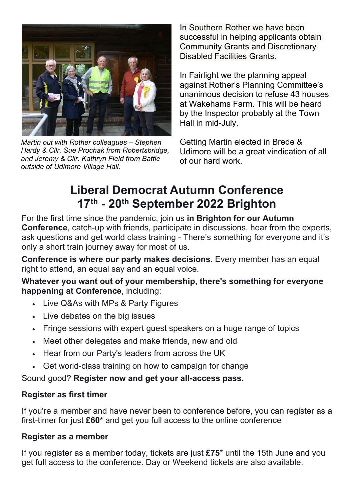

*Martin out with Rother colleagues – Stephen Hardy & Cllr. Sue Prochak from Robertsbridge, and Jeremy & Cllr. Kathryn Field from Battle outside of Udimore Village Hall.*

In Southern Rother we have been successful in helping applicants obtain Community Grants and Discretionary Disabled Facilities Grants.

In Fairlight we the planning appeal against Rother's Planning Committee's unanimous decision to refuse 43 houses at Wakehams Farm. This will be heard by the Inspector probably at the Town Hall in mid-July.

Getting Martin elected in Brede & Udimore will be a great vindication of all of our hard work.

### **Liberal Democrat Autumn Conference 17th - 20th September 2022 Brighton**

For the first time since the pandemic, join us **in Brighton for our Autumn Conference**, catch-up with friends, participate in discussions, hear from the experts, ask questions and get world class training - There's something for everyone and it's only a short train journey away for most of us.

**Conference is where our party makes decisions.** Every member has an equal right to attend, an equal say and an equal voice.

**Whatever you want out of your membership, there's something for everyone happening at Conference**, including:

- · Live Q&As with MPs & Party Figures
- · Live debates on the big issues
- · Fringe sessions with expert guest speakers on a huge range of topics
- · Meet other delegates and make friends, new and old
- · Hear from our Party's leaders from across the UK
- · Get world-class training on how to campaign for change

Sound good? **Register now and get your all-access pass.**

#### **Register as first timer**

If you're a member and have never been to conference before, you can register as a first-timer for just **£60\*** and get you full access to the online conference

#### **Register as a member**

If you register as a member today, tickets are just **£75**\* until the 15th June and you get full access to the conference. Day or Weekend tickets are also available.